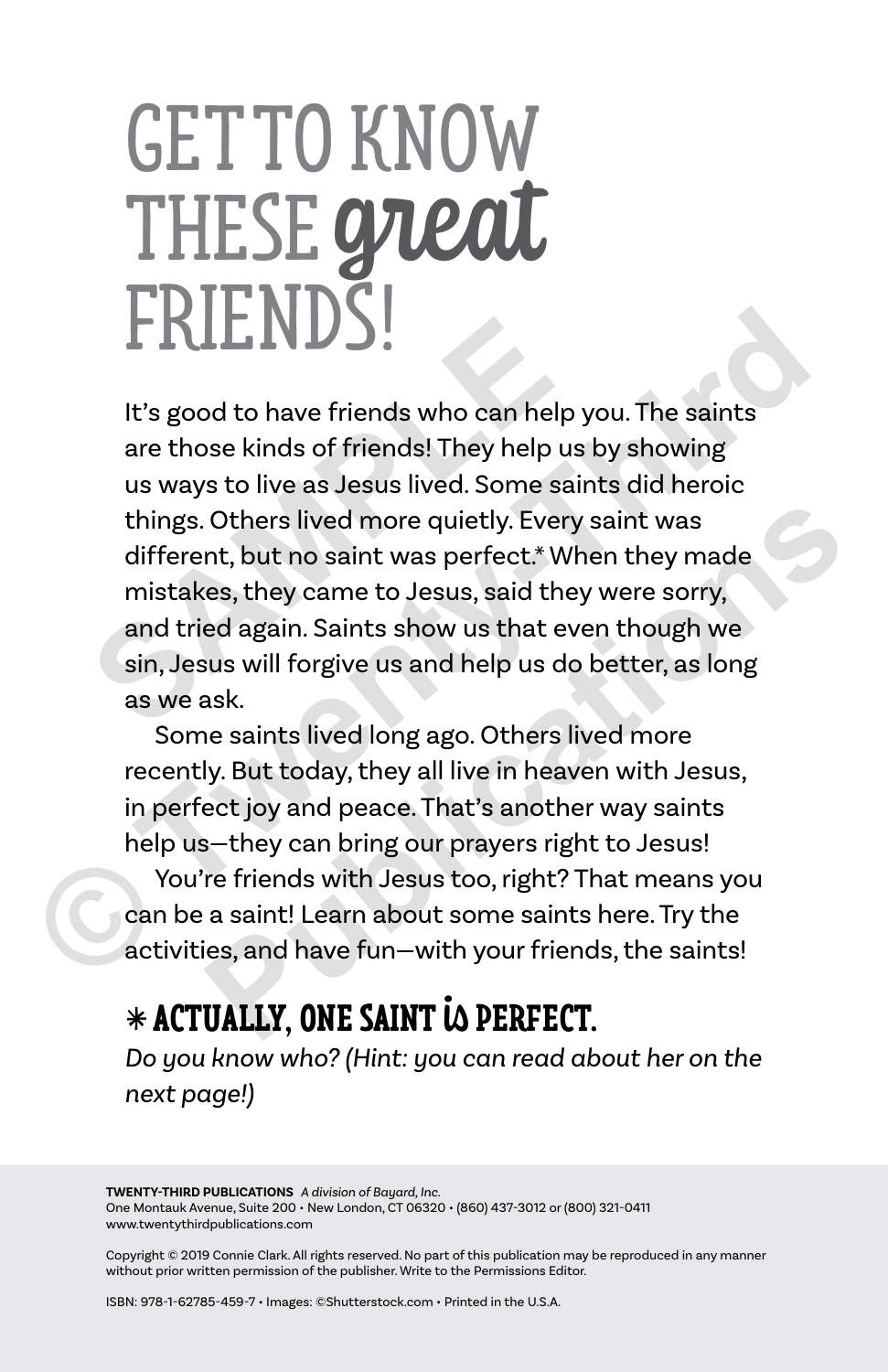# GET TO KNOW THESE great **FRIENDS!**

It's good to have friends who can help you. The saints are those kinds of friends! They help us by showing us ways to live as Jesus lived. Some saints did heroic things. Others lived more quietly. Every saint was different, but no saint was perfect.\* When they made mistakes, they came to Jesus, said they were sorry, and tried again. Saints show us that even though we sin, Jesus will forgive us and help us do better, as long as we ask. It's good to have friends who can help y<br>are those kinds of friends! They help us<br>us ways to live as Jesus lived. Some sair<br>things. Others lived more quietly. Every<br>different, but no saint was perfect.\* Wh<br>mistakes, they c **ENDITED 19**<br>
It's good to have friends who can help you. The saints<br>
are those kinds of friends! They help us by showing<br>
us ways to live as Jesus lived. Some saints did heroic<br>
things. Others lived more quietly. Every sa Others lived more quietly. Every saint was<br>nt, but no saint was perfect.\* When they made<br>es, they came to Jesus, said they were sorry,<br>ed again. Saints show us that even though we<br>us will forgive us and help us do better,

Some saints lived long ago. Others lived more recently. But today, they all live in heaven with Jesus, in perfect joy and peace. That's another way saints help us—they can bring our prayers right to Jesus!

You're friends with Jesus too, right? That means you can be a saint! Learn about some saints here. Try the activities, and have fun—with your friends, the saints!

#### <sup>l</sup> **ACTUALLY, ONE SAINT** is **PERFECT.**

*Do you know who? (Hint: you can read about her on the next page!)*

**TWENTY-THIRD PUBLICATIONS** *A division of Bayard, Inc.* One Montauk Avenue, Suite 200 • New London, CT 06320 • (860) 437-3012 or (800) 321-0411 www.twentythirdpublications.com

Copyright © 2019 Connie Clark. All rights reserved. No part of this publication may be reproduced in any manner without prior written permission of the publisher. Write to the Permissions Editor.

ISBN: 978-1-62785-459-7 • Images: ©Shutterstock.com • Printed in the U.S.A.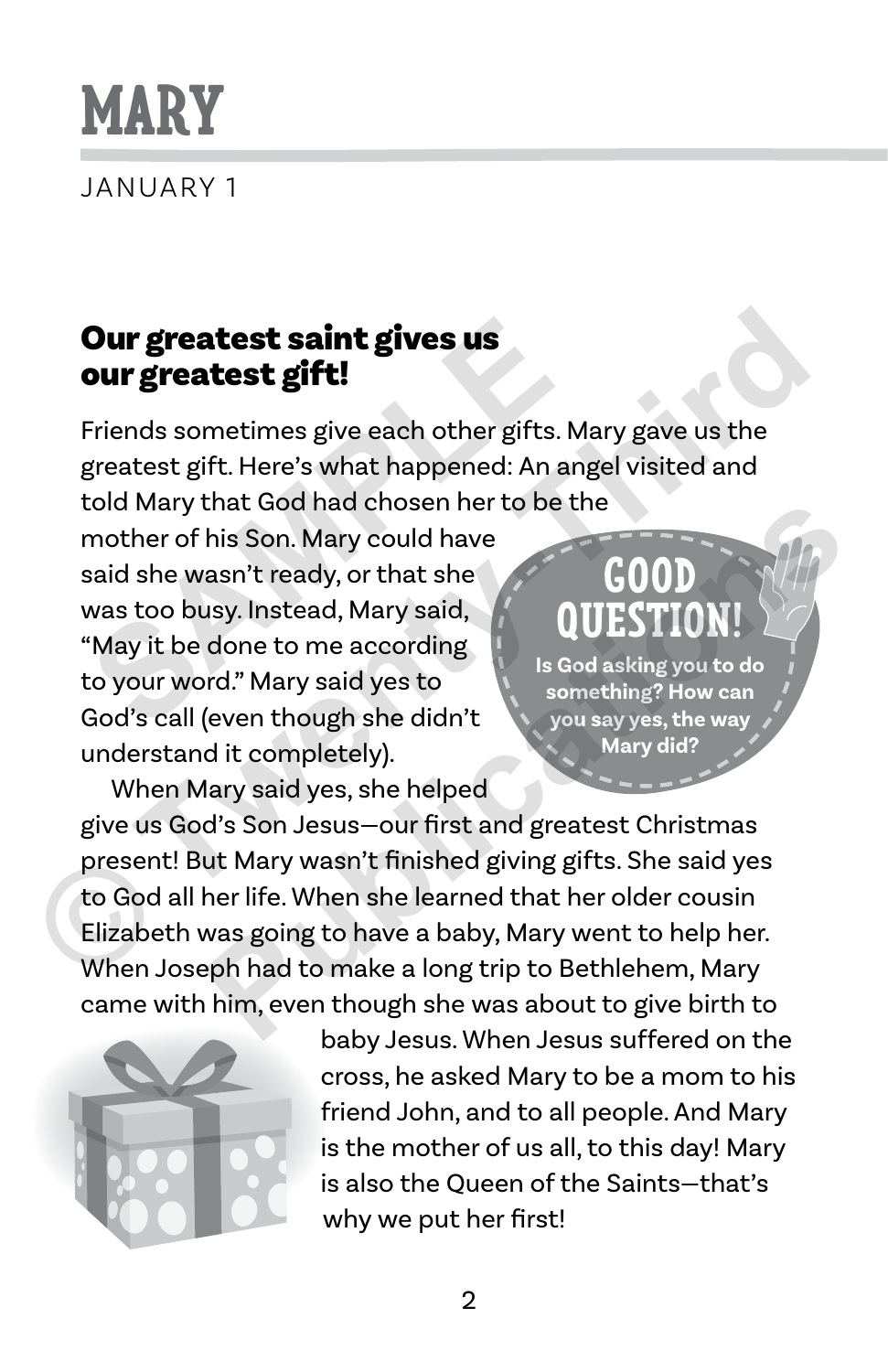## **MARY**

JANUARY 1

#### Our greatest saint gives us our greatest gift!

Friends sometimes give each other gifts. Mary gave us the greatest gift. Here's what happened: An angel visited and told Mary that God had chosen her to be the

mother of his Son. Mary could have said she wasn't ready, or that she was too busy. Instead, Mary said, "May it be done to me according to your word." Mary said yes to God's call (even though she didn't understand it completely). **Our greatest saint gives us<br>
Friends sometimes give each other gifts. M<br>
greatest gift. Here's what happened: An an<sub>i</sub><br>
cold Mary that God had chosen her to be the<br>
mother of his Son. Mary could have<br>
said she wasn't read** 

#### **GOOD QUESTION!**

**Is God asking you to do something? How can you say yes, the way Mary did?**

When Mary said yes, she helped give us God's Son Jesus—our first and greatest Christmas present! But Mary wasn't finished giving gifts. She said yes to God all her life. When she learned that her older cousin Elizabeth was going to have a baby, Mary went to help her. When Joseph had to make a long trip to Bethlehem, Mary came with him, even though she was about to give birth to **Our greatest saint gives us**<br>
Friends sometimes give each other gifts. Mary gave us the<br>
greatest gift. Here's what happened: An angel visited and<br>
told Mary that God had chosen her to be the<br>
mother of his Son. Mary coul that God nad chosen her to be the<br>
his Son. Mary could have<br>
asn't ready, or that she<br>
usy. Instead, Mary said,<br>
done to me according<br>
rd." Mary said yes to<br>
(even though she didn't<br>
you say yes, the way<br>
Mary did?<br>
dit co



baby Jesus. When Jesus suffered on the cross, he asked Mary to be a mom to his friend John, and to all people. And Mary is the mother of us all, to this day! Mary is also the Queen of the Saints—that's why we put her first!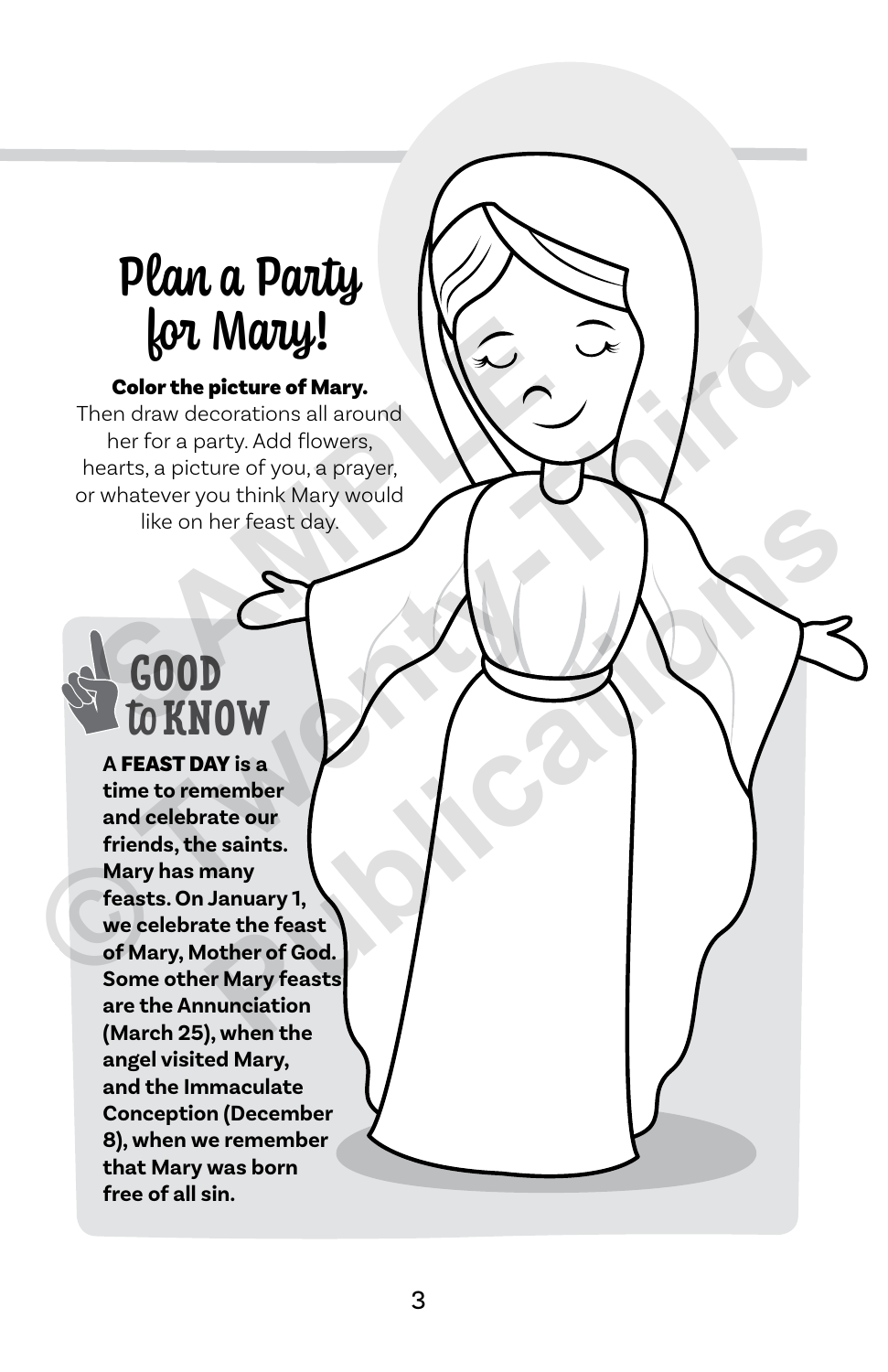## Plan a Party for Mary!

#### Color the picture of Mary.

Then draw decorations all around her for a party. Add flowers, hearts, a picture of you, a prayer, or whatever you think Mary would like on her feast day. **SOL Mally!**<br> **Color the picture of Mary.**<br>
hen draw decorations all around<br>
her for a party. Add flowers,<br>
nearts, a picture of you, a prayer,<br>
r whatever you think Mary would<br>
like on her feast day.<br> **SOOD** 

## **GOOD** to **KNOW**

**A** FEAST DAY **is a time to remember and celebrate our friends, the saints. Mary has many feasts. On January 1, we celebrate the feast of Mary, Mother of God. Some other Mary feasts are the Annunciation (March 25), when the angel visited Mary, and the Immaculate Conception (December 8), when we remember that Mary was born free of all sin. Color the picture of Mary.**<br>
Color the picture of Mary.<br>
Then draw decorations all around<br>
her for a party. Add flowers,<br>
hearts, a picture of you, a prayer,<br>
or whatever you think Mary would<br>
or whether the reast day.<br> For feast day<br> **Publications and the feast day**<br> **AY** is a<br>
member<br> **E** saints.<br> **E** saints.<br> **E** saints.<br> **E** saints.<br> **E** saints.<br> **E** saints.<br> **E** saints.<br> **E** saints.<br> **ATA** is a saint of God.<br> **A** when the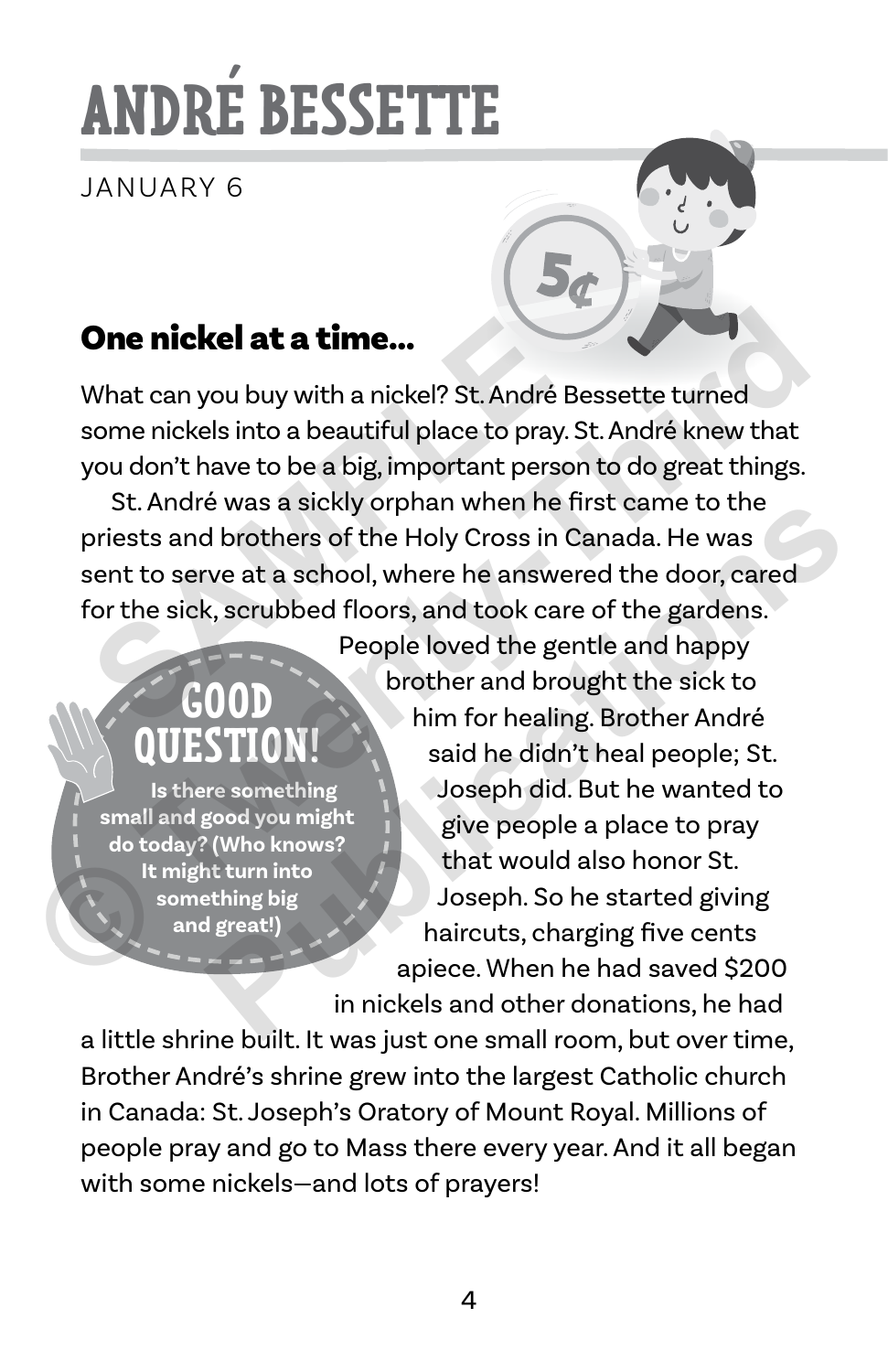# **ANDRÉ BESSETTE**

JANUARY 6

#### One nickel at a time…

What can you buy with a nickel? St. André Bessette turned some nickels into a beautiful place to pray. St. André knew that you don't have to be a big, important person to do great things.

St. André was a sickly orphan when he first came to the priests and brothers of the Holy Cross in Canada. He was sent to serve at a school, where he answered the door, cared for the sick, scrubbed floors, and took care of the gardens. **One nickel at a time...**<br>
What can you buy with a nickel? St. André Be<br>
some nickels into a beautiful place to pray. S<br>
you don't have to be a big, important person<br>
St. André was a sickly orphan when he fit<br>
priests and

### **GOOD QUESTION!**

 **Is there something small and good you might do today? (Who knows? It might turn into something big and great!)**

People loved the gentle and happy brother and brought the sick to him for healing. Brother André said he didn't heal people; St. Joseph did. But he wanted to give people a place to pray that would also honor St. Joseph. So he started giving haircuts, charging five cents apiece. When he had saved \$200 in nickels and other donations, he had **One nickel at a time...**<br>
What can you buy with a nickel? St. André Bessette turned<br>
some nickels into a beautiful place to pray. St. André knew that<br>
you don't have to be a big, important person to do great things.<br>
St. Example 19 and the particular time is the particular time is the particular time in the particular time is the particular time into the particular time into the particular time into the particular time into the sick to the

a little shrine built. It was just one small room, but over time, Brother André's shrine grew into the largest Catholic church in Canada: St. Joseph's Oratory of Mount Royal. Millions of people pray and go to Mass there every year. And it all began with some nickels—and lots of prayers!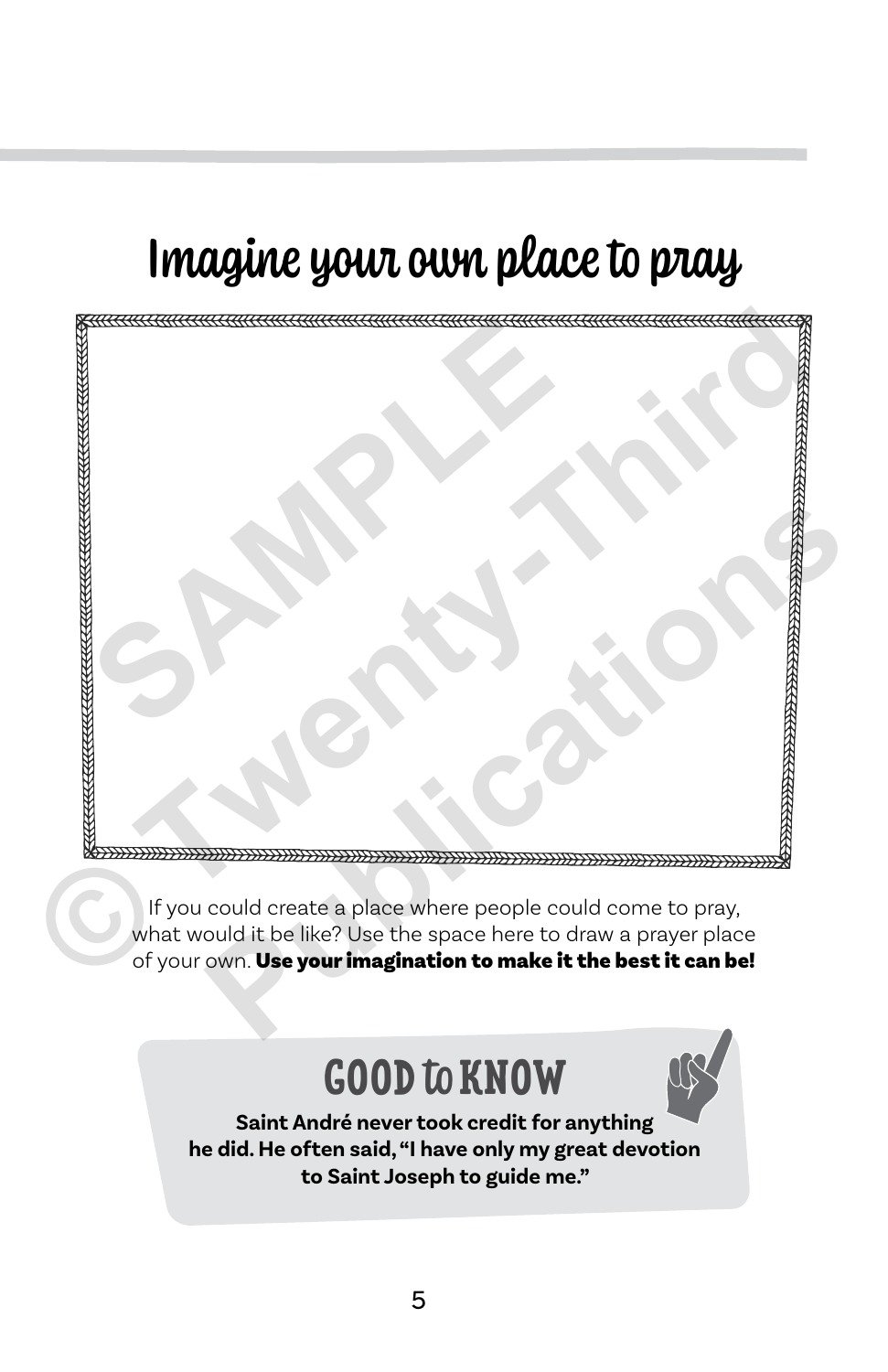## Imagine your own place to pray



If you could create a place where people could come to pray, what would it be like? Use the space here to draw a prayer place of your own. Use your imagination to make it the best it can be!

#### **GOOD** to **KNOW**



**Saint André never took credit for anything he did. He often said, "I have only my great devotion to Saint Joseph to guide me."**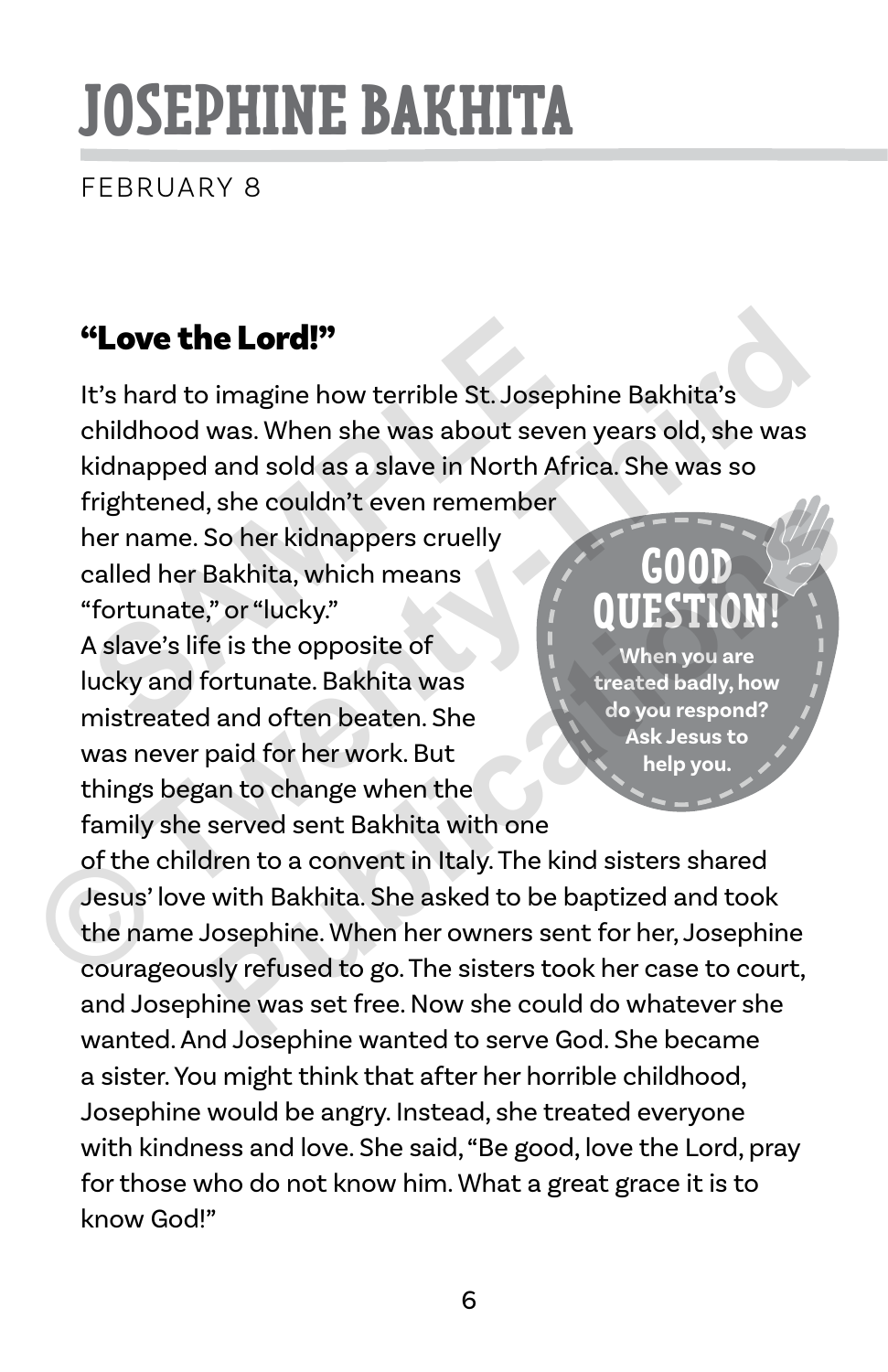# **JOSEPHINE BAKHITA**

FEBRUARY 8

#### "Love the Lord!"

It's hard to imagine how terrible St. Josephine Bakhita's childhood was. When she was about seven years old, she was kidnapped and sold as a slave in North Africa. She was so frightened, she couldn't even remember **Standard:**<br> **Standard:**<br> **Standard:**<br> **Standard:**<br> **Standard:**<br> **Standard:**<br> **Standard:**<br> **Standard:**<br> **Standard:**<br> **Standard:**<br> **Standard:**<br> **Standard:**<br> **Standard:**<br> **Standard:**<br> **Standard:**<br> **Standard:**<br> **Standard:**<br> **Example 19 All the Solution School School School School School School School School School School School School School School School School School School School School School School School School School School School Scho** 

her name. So her kidnappers cruelly called her Bakhita, which means "fortunate," or "lucky."

A slave's life is the opposite of lucky and fortunate. Bakhita was mistreated and often beaten. She was never paid for her work. But things began to change when the family she served sent Bakhita with one

#### **GOOD QUESTION!**

**When you are treated badly, how do you respond? Ask Jesus to help you.**

of the children to a convent in Italy. The kind sisters shared Jesus' love with Bakhita. She asked to be baptized and took the name Josephine. When her owners sent for her, Josephine courageously refused to go. The sisters took her case to court, and Josephine was set free. Now she could do whatever she wanted. And Josephine wanted to serve God. She became a sister. You might think that after her horrible childhood, Josephine would be angry. Instead, she treated everyone with kindness and love. She said, "Be good, love the Lord, pray for those who do not know him. What a great grace it is to know God!" For the Rakhita, which means<br>
The couldn't even remember<br>
So her kidnappers cruelly<br>
The is the opposite of<br>
Fortunate. Bakhita was<br>
and often beaten. She<br>
paid for her work. But<br>
an to change when the<br>
served sent Bakhita